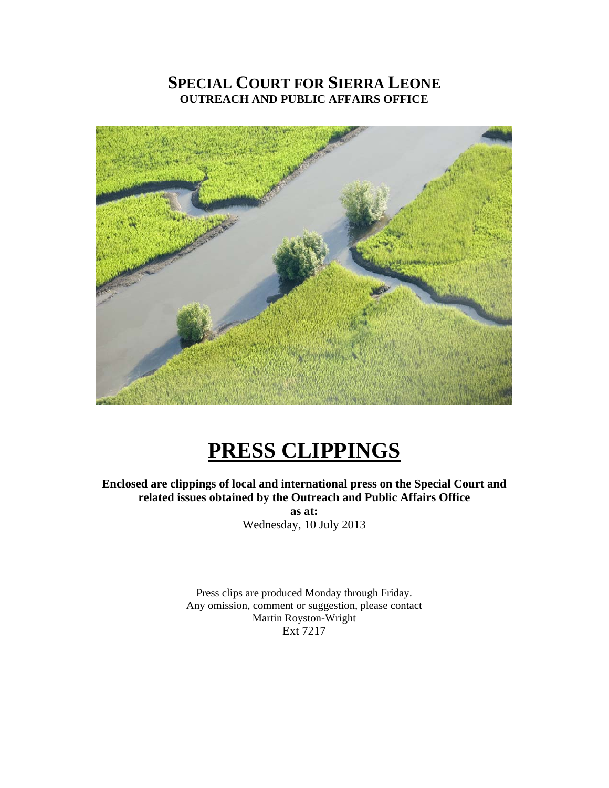# **SPECIAL COURT FOR SIERRA LEONE OUTREACH AND PUBLIC AFFAIRS OFFICE**



# **PRESS CLIPPINGS**

**Enclosed are clippings of local and international press on the Special Court and related issues obtained by the Outreach and Public Affairs Office as at:**  Wednesday, 10 July 2013

> Press clips are produced Monday through Friday. Any omission, comment or suggestion, please contact Martin Royston-Wright Ext 7217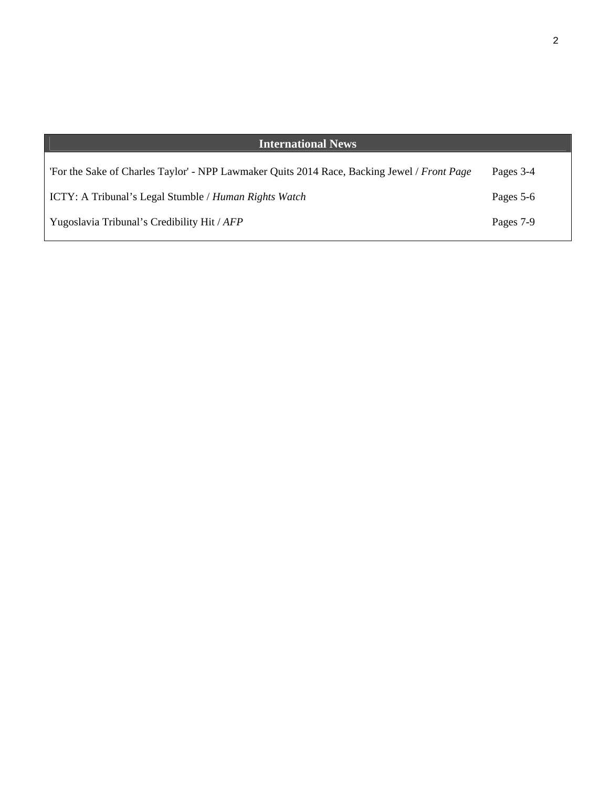# **International News**

| 'For the Sake of Charles Taylor' - NPP Lawmaker Quits 2014 Race, Backing Jewel / Front Page | Pages 3-4 |
|---------------------------------------------------------------------------------------------|-----------|
| ICTY: A Tribunal's Legal Stumble / Human Rights Watch                                       | Pages 5-6 |
| Yugoslavia Tribunal's Credibility Hit / AFP                                                 | Pages 7-9 |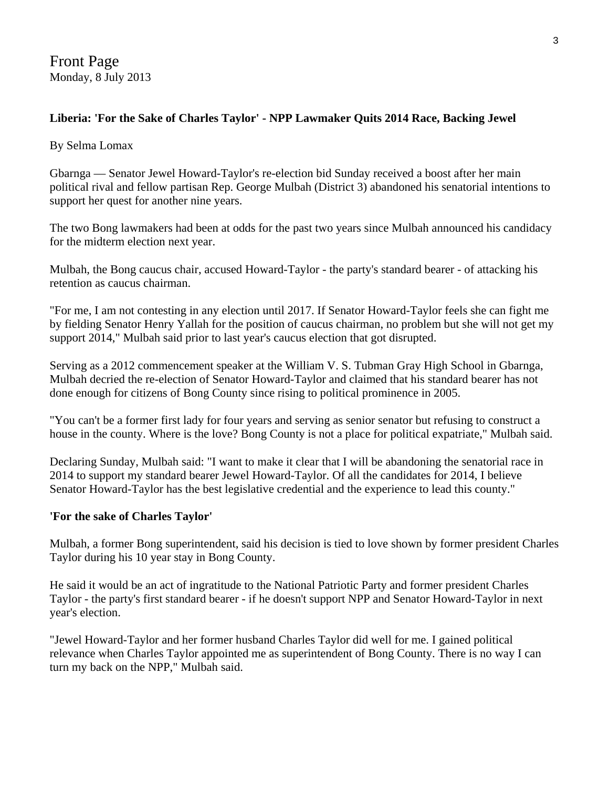# **Liberia: 'For the Sake of Charles Taylor' - NPP Lawmaker Quits 2014 Race, Backing Jewel**

## By Selma Lomax

Gbarnga — Senator Jewel Howard-Taylor's re-election bid Sunday received a boost after her main political rival and fellow partisan Rep. George Mulbah (District 3) abandoned his senatorial intentions to support her quest for another nine years.

The two Bong lawmakers had been at odds for the past two years since Mulbah announced his candidacy for the midterm election next year.

Mulbah, the Bong caucus chair, accused Howard-Taylor - the party's standard bearer - of attacking his retention as caucus chairman.

"For me, I am not contesting in any election until 2017. If Senator Howard-Taylor feels she can fight me by fielding Senator Henry Yallah for the position of caucus chairman, no problem but she will not get my support 2014," Mulbah said prior to last year's caucus election that got disrupted.

Serving as a 2012 commencement speaker at the William V. S. Tubman Gray High School in Gbarnga, Mulbah decried the re-election of Senator Howard-Taylor and claimed that his standard bearer has not done enough for citizens of Bong County since rising to political prominence in 2005.

"You can't be a former first lady for four years and serving as senior senator but refusing to construct a house in the county. Where is the love? Bong County is not a place for political expatriate," Mulbah said.

Declaring Sunday, Mulbah said: "I want to make it clear that I will be abandoning the senatorial race in 2014 to support my standard bearer Jewel Howard-Taylor. Of all the candidates for 2014, I believe Senator Howard-Taylor has the best legislative credential and the experience to lead this county."

## **'For the sake of Charles Taylor'**

Mulbah, a former Bong superintendent, said his decision is tied to love shown by former president Charles Taylor during his 10 year stay in Bong County.

He said it would be an act of ingratitude to the National Patriotic Party and former president Charles Taylor - the party's first standard bearer - if he doesn't support NPP and Senator Howard-Taylor in next year's election.

"Jewel Howard-Taylor and her former husband Charles Taylor did well for me. I gained political relevance when Charles Taylor appointed me as superintendent of Bong County. There is no way I can turn my back on the NPP," Mulbah said.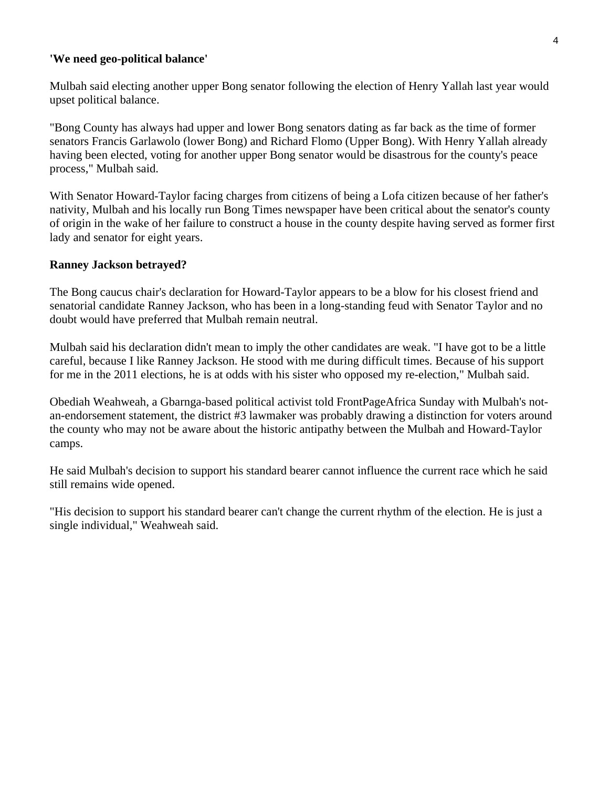#### **'We need geo-political balance'**

Mulbah said electing another upper Bong senator following the election of Henry Yallah last year would upset political balance.

"Bong County has always had upper and lower Bong senators dating as far back as the time of former senators Francis Garlawolo (lower Bong) and Richard Flomo (Upper Bong). With Henry Yallah already having been elected, voting for another upper Bong senator would be disastrous for the county's peace process," Mulbah said.

With Senator Howard-Taylor facing charges from citizens of being a Lofa citizen because of her father's nativity, Mulbah and his locally run Bong Times newspaper have been critical about the senator's county of origin in the wake of her failure to construct a house in the county despite having served as former first lady and senator for eight years.

#### **Ranney Jackson betrayed?**

The Bong caucus chair's declaration for Howard-Taylor appears to be a blow for his closest friend and senatorial candidate Ranney Jackson, who has been in a long-standing feud with Senator Taylor and no doubt would have preferred that Mulbah remain neutral.

Mulbah said his declaration didn't mean to imply the other candidates are weak. "I have got to be a little careful, because I like Ranney Jackson. He stood with me during difficult times. Because of his support for me in the 2011 elections, he is at odds with his sister who opposed my re-election," Mulbah said.

Obediah Weahweah, a Gbarnga-based political activist told FrontPageAfrica Sunday with Mulbah's notan-endorsement statement, the district #3 lawmaker was probably drawing a distinction for voters around the county who may not be aware about the historic antipathy between the Mulbah and Howard-Taylor camps.

He said Mulbah's decision to support his standard bearer cannot influence the current race which he said still remains wide opened.

"His decision to support his standard bearer can't change the current rhythm of the election. He is just a single individual," Weahweah said.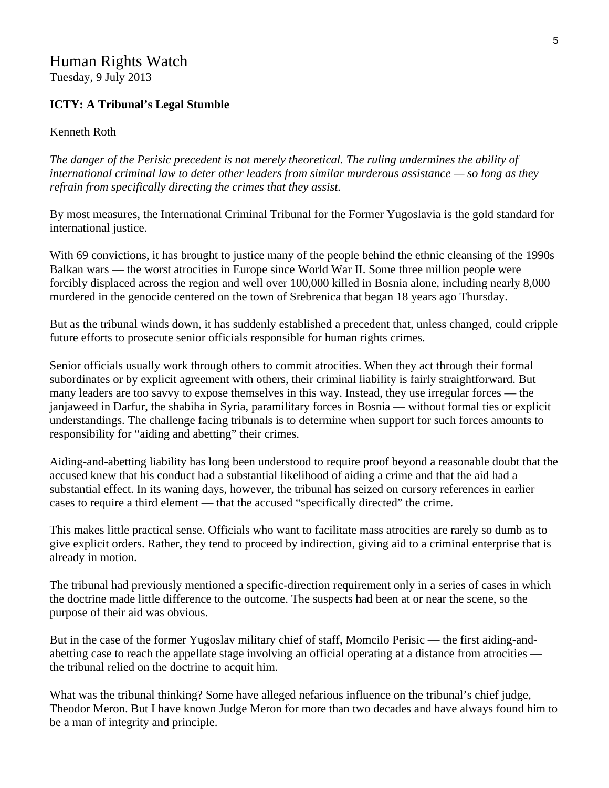# Human Rights Watch

Tuesday, 9 July 2013

# **ICTY: A Tribunal's Legal Stumble**

### Kenneth Roth

*The danger of the Perisic precedent is not merely theoretical. The ruling undermines the ability of international criminal law to deter other leaders from similar murderous assistance — so long as they refrain from specifically directing the crimes that they assist.* 

By most measures, the International Criminal Tribunal for the Former Yugoslavia is the gold standard for international justice.

With 69 convictions, it has brought to justice many of the people behind the ethnic cleansing of the 1990s Balkan wars — the worst atrocities in Europe since World War II. Some three million people were forcibly displaced across the region and well over 100,000 killed in Bosnia alone, including nearly 8,000 murdered in the genocide centered on the town of Srebrenica that began 18 years ago Thursday.

But as the tribunal winds down, it has suddenly established a precedent that, unless changed, could cripple future efforts to prosecute senior officials responsible for human rights crimes.

Senior officials usually work through others to commit atrocities. When they act through their formal subordinates or by explicit agreement with others, their criminal liability is fairly straightforward. But many leaders are too savvy to expose themselves in this way. Instead, they use irregular forces — the janjaweed in Darfur, the shabiha in Syria, paramilitary forces in Bosnia — without formal ties or explicit understandings. The challenge facing tribunals is to determine when support for such forces amounts to responsibility for "aiding and abetting" their crimes.

Aiding-and-abetting liability has long been understood to require proof beyond a reasonable doubt that the accused knew that his conduct had a substantial likelihood of aiding a crime and that the aid had a substantial effect. In its waning days, however, the tribunal has seized on cursory references in earlier cases to require a third element — that the accused "specifically directed" the crime.

This makes little practical sense. Officials who want to facilitate mass atrocities are rarely so dumb as to give explicit orders. Rather, they tend to proceed by indirection, giving aid to a criminal enterprise that is already in motion.

The tribunal had previously mentioned a specific-direction requirement only in a series of cases in which the doctrine made little difference to the outcome. The suspects had been at or near the scene, so the purpose of their aid was obvious.

But in the case of the former Yugoslav military chief of staff, Momcilo Perisic — the first aiding-andabetting case to reach the appellate stage involving an official operating at a distance from atrocities the tribunal relied on the doctrine to acquit him.

What was the tribunal thinking? Some have alleged nefarious influence on the tribunal's chief judge, Theodor Meron. But I have known Judge Meron for more than two decades and have always found him to be a man of integrity and principle.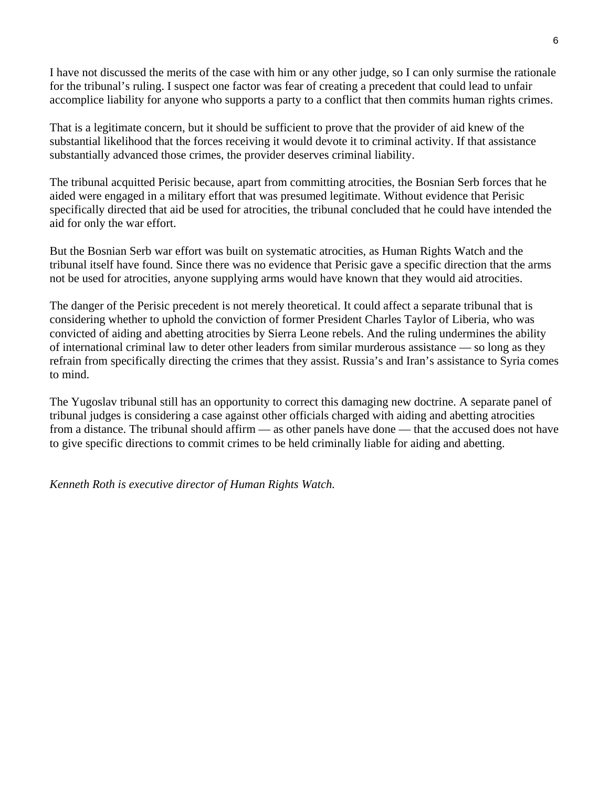I have not discussed the merits of the case with him or any other judge, so I can only surmise the rationale for the tribunal's ruling. I suspect one factor was fear of creating a precedent that could lead to unfair accomplice liability for anyone who supports a party to a conflict that then commits human rights crimes.

That is a legitimate concern, but it should be sufficient to prove that the provider of aid knew of the substantial likelihood that the forces receiving it would devote it to criminal activity. If that assistance substantially advanced those crimes, the provider deserves criminal liability.

The tribunal acquitted Perisic because, apart from committing atrocities, the Bosnian Serb forces that he aided were engaged in a military effort that was presumed legitimate. Without evidence that Perisic specifically directed that aid be used for atrocities, the tribunal concluded that he could have intended the aid for only the war effort.

But the Bosnian Serb war effort was built on systematic atrocities, as Human Rights Watch and the tribunal itself have found. Since there was no evidence that Perisic gave a specific direction that the arms not be used for atrocities, anyone supplying arms would have known that they would aid atrocities.

The danger of the Perisic precedent is not merely theoretical. It could affect a separate tribunal that is considering whether to uphold the conviction of former President Charles Taylor of Liberia, who was convicted of aiding and abetting atrocities by Sierra Leone rebels. And the ruling undermines the ability of international criminal law to deter other leaders from similar murderous assistance — so long as they refrain from specifically directing the crimes that they assist. Russia's and Iran's assistance to Syria comes to mind.

The Yugoslav tribunal still has an opportunity to correct this damaging new doctrine. A separate panel of tribunal judges is considering a case against other officials charged with aiding and abetting atrocities from a distance. The tribunal should affirm — as other panels have done — that the accused does not have to give specific directions to commit crimes to be held criminally liable for aiding and abetting.

*Kenneth Roth is executive director of Human Rights Watch.*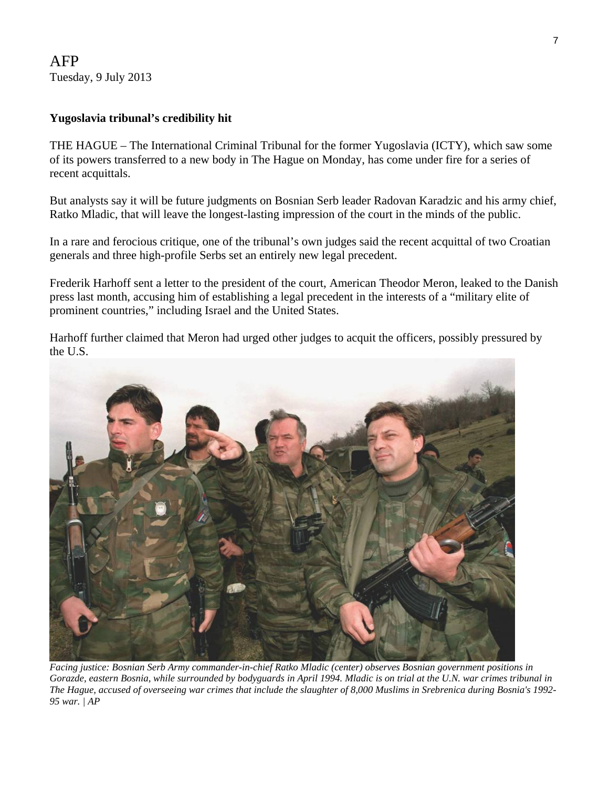AFP Tuesday, 9 July 2013

### **Yugoslavia tribunal's credibility hit**

THE HAGUE – The International Criminal Tribunal for the former Yugoslavia (ICTY), which saw some of its powers transferred to a new body in The Hague on Monday, has come under fire for a series of recent acquittals.

But analysts say it will be future judgments on Bosnian Serb leader Radovan Karadzic and his army chief, Ratko Mladic, that will leave the longest-lasting impression of the court in the minds of the public.

In a rare and ferocious critique, one of the tribunal's own judges said the recent acquittal of two Croatian generals and three high-profile Serbs set an entirely new legal precedent.

Frederik Harhoff sent a letter to the president of the court, American Theodor Meron, leaked to the Danish press last month, accusing him of establishing a legal precedent in the interests of a "military elite of prominent countries," including Israel and the United States.

Harhoff further claimed that Meron had urged other judges to acquit the officers, possibly pressured by the U.S.



*Facing justice: Bosnian Serb Army commander-in-chief Ratko Mladic (center) observes Bosnian government positions in Gorazde, eastern Bosnia, while surrounded by bodyguards in April 1994. Mladic is on trial at the U.N. war crimes tribunal in The Hague, accused of overseeing war crimes that include the slaughter of 8,000 Muslims in Srebrenica during Bosnia's 1992- 95 war. | AP*